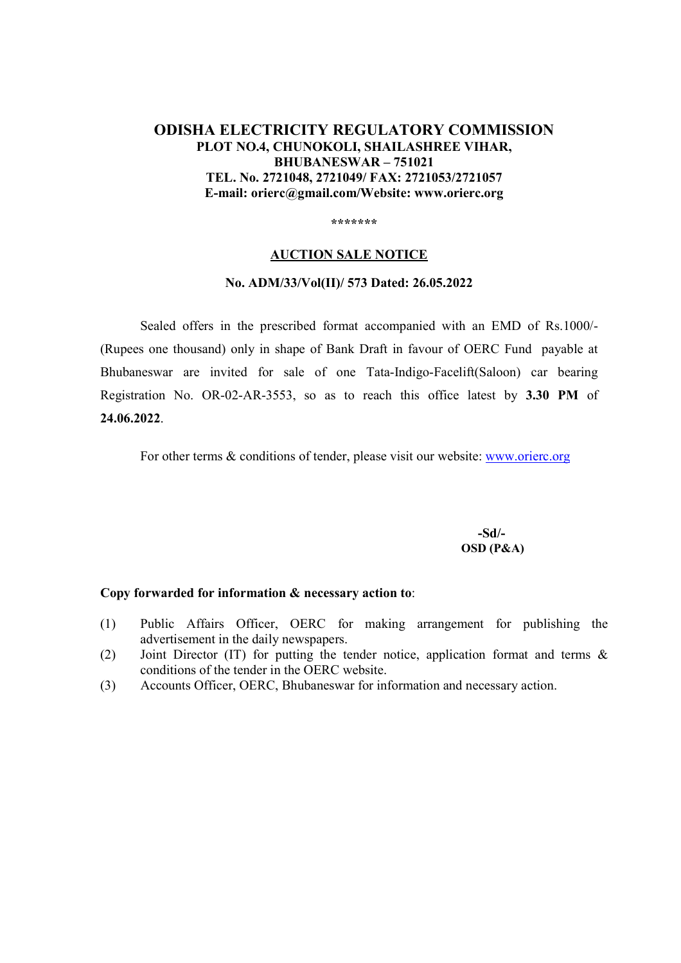# **ODISHA ELECTRICITY REGULATORY COMMISSION PLOT NO.4, CHUNOKOLI, SHAILASHREE VIHAR, BHUBANESWAR – 751021 TEL. No. 2721048, 2721049/ FAX: 2721053/2721057 E-mail: orierc@gmail.com/Website: www.orierc.org**

**\*\*\*\*\*\*\*** 

#### **AUCTION SALE NOTICE**

### **No. ADM/33/Vol(II)/ 573 Dated: 26.05.2022**

Sealed offers in the prescribed format accompanied with an EMD of Rs.1000/- (Rupees one thousand) only in shape of Bank Draft in favour of OERC Fund payable at Bhubaneswar are invited for sale of one Tata-Indigo-Facelift(Saloon) car bearing Registration No. OR-02-AR-3553, so as to reach this office latest by **3.30 PM** of **24.06.2022**.

For other terms & conditions of tender, please visit our website: www.orierc.org

 **-Sd/- OSD (P&A)**

#### **Copy forwarded for information & necessary action to**:

- (1) Public Affairs Officer, OERC for making arrangement for publishing the advertisement in the daily newspapers.
- (2) Joint Director (IT) for putting the tender notice, application format and terms & conditions of the tender in the OERC website.
- (3) Accounts Officer, OERC, Bhubaneswar for information and necessary action.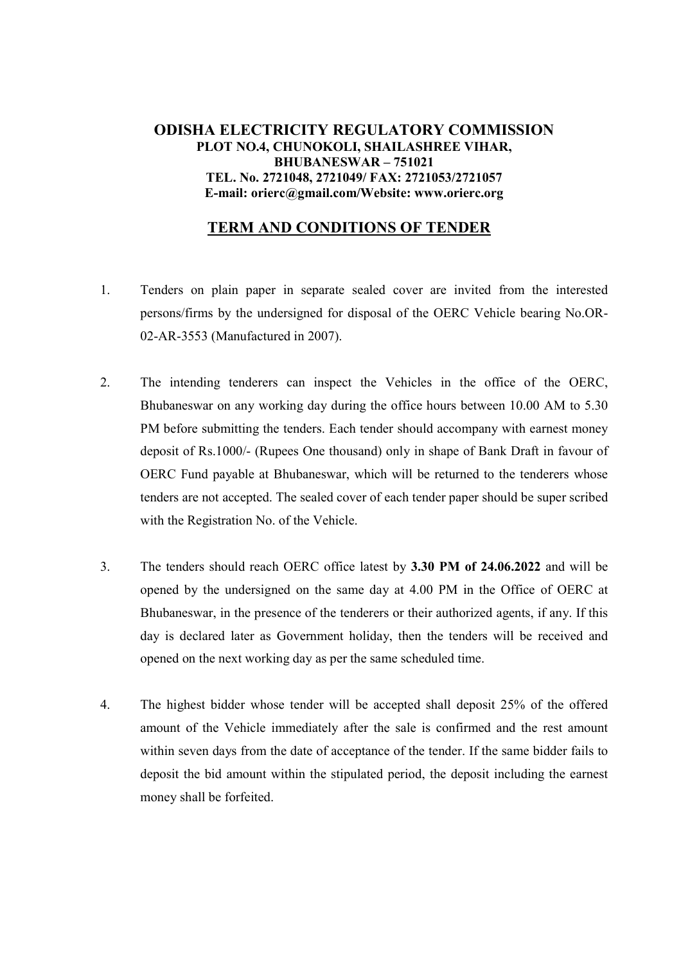## **ODISHA ELECTRICITY REGULATORY COMMISSION PLOT NO.4, CHUNOKOLI, SHAILASHREE VIHAR, BHUBANESWAR – 751021 TEL. No. 2721048, 2721049/ FAX: 2721053/2721057 E-mail: orierc@gmail.com/Website: www.orierc.org**

# **TERM AND CONDITIONS OF TENDER**

- 1. Tenders on plain paper in separate sealed cover are invited from the interested persons/firms by the undersigned for disposal of the OERC Vehicle bearing No.OR-02-AR-3553 (Manufactured in 2007).
- 2. The intending tenderers can inspect the Vehicles in the office of the OERC, Bhubaneswar on any working day during the office hours between 10.00 AM to 5.30 PM before submitting the tenders. Each tender should accompany with earnest money deposit of Rs.1000/- (Rupees One thousand) only in shape of Bank Draft in favour of OERC Fund payable at Bhubaneswar, which will be returned to the tenderers whose tenders are not accepted. The sealed cover of each tender paper should be super scribed with the Registration No. of the Vehicle.
- 3. The tenders should reach OERC office latest by **3.30 PM of 24.06.2022** and will be opened by the undersigned on the same day at 4.00 PM in the Office of OERC at Bhubaneswar, in the presence of the tenderers or their authorized agents, if any. If this day is declared later as Government holiday, then the tenders will be received and opened on the next working day as per the same scheduled time.
- 4. The highest bidder whose tender will be accepted shall deposit 25% of the offered amount of the Vehicle immediately after the sale is confirmed and the rest amount within seven days from the date of acceptance of the tender. If the same bidder fails to deposit the bid amount within the stipulated period, the deposit including the earnest money shall be forfeited.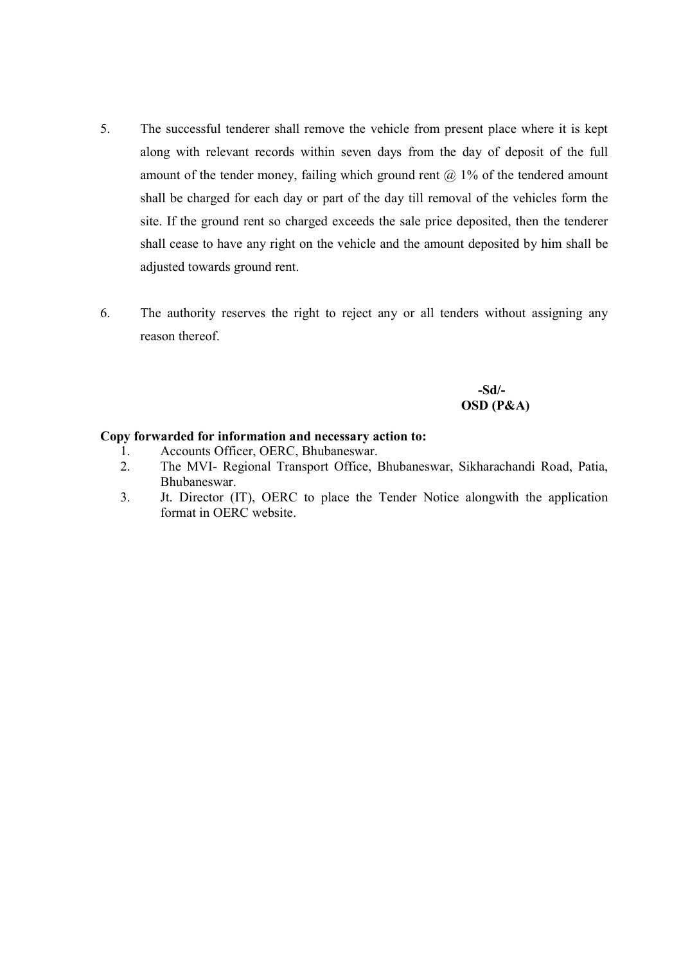- 5. The successful tenderer shall remove the vehicle from present place where it is kept along with relevant records within seven days from the day of deposit of the full amount of the tender money, failing which ground rent  $(a)$  1% of the tendered amount shall be charged for each day or part of the day till removal of the vehicles form the site. If the ground rent so charged exceeds the sale price deposited, then the tenderer shall cease to have any right on the vehicle and the amount deposited by him shall be adjusted towards ground rent.
- 6. The authority reserves the right to reject any or all tenders without assigning any reason thereof.

 **-Sd/- OSD (P&A)** 

### **Copy forwarded for information and necessary action to:**

- 1. Accounts Officer, OERC, Bhubaneswar.
- 2. The MVI- Regional Transport Office, Bhubaneswar, Sikharachandi Road, Patia, Bhubaneswar.
- 3. Jt. Director (IT), OERC to place the Tender Notice alongwith the application format in OERC website.